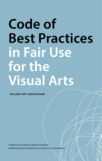# **Code of Best Practices in Fair Use for the Visual Arts**

**college art association**

Funded by the Andrew W. Mellon Foundation Additional support provided by the Samuel H. Kress Foundation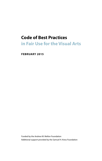## **Code of Best Practices in Fair Use for the Visual Arts**

**FEBRUARY 2015**

Funded by the Andrew W. Mellon Foundation Additional support provided by the Samuel H. Kress Foundation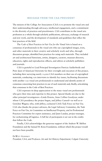#### **MESSAGE FROM THE CAA PRESIDENT**

The mission of the College Art Association (CAA) is to promote the visual arts and their understanding through advocacy, intellectual engagement, and a commitment to the diversity of practices and practitioners. CAA contributes to the visual arts profession as a whole through scholarly publications, advocacy, exchange of research and new work, and the development of standards and guidelines that reflect the best practices of the field.

The *Code of Best Practices in Fair Use for the Visual Arts* is based on a consensus of professionals in the visual arts who use copyrighted images, texts, and other materials in their creative and scholarly work and who, through discussion groups, identified best practices for using such materials. They included art and architectural historians, artists, designers, curators, museum directors, educators, rights and reproduction officers, and editors at scholarly publishers and journals.

CAA is grateful to Lead Principal Investigators Patricia Aufderheide and Peter Jaszi of American University for their oversight and execution of this project, including their surveying nearly 12,000 CAA members on their use of copyrighted materials, conducting 100 interviews to identify key issues, facilitating discussions with another 120 visual arts professionals to understand and identify points of consensus concerning best practices in use of such materials and, finally, articulating that consensus in the Code of Best Practices.

CAA expresses its deep appreciation to the many visual arts professionals who gave their time and expertise to this project. Special thanks are due to the other principal investigators—Linda Downs, Anne Collins Goodyear, under whose CAA presidency the project began, and Jeffrey Cunard—as well as to Gretchen Wagner, who, with Jeffrey, cochaired CAA's Task Force on Fair Use. CAA also thanks the project advisors, the Legal Advisory Committee, the Task Force on Fair Use, its Committee on Intellectual Property, and its Professional Practices Committee for expert assistance, and Janet Landay, project manager, for orchestrating all logistics. A full list of participants is set out in the credits that follow the Code.

Finally, CAA acknowledges the generous support of the Andrew W. Mellon Foundation and the Samuel H. Kress Foundation, without which this project would not have been possible.

DEWITT GODFREY *President, CAA, and Professor, Art and Art History Department, Colgate University*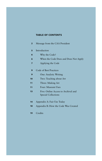## **TABLE OF CONTENTS**

| $\overline{2}$ | Message from the CAA President                                    |
|----------------|-------------------------------------------------------------------|
| 5              | Introduction                                                      |
| 6              | Why the Code?                                                     |
| 6              | When the Code Does and Does Not Apply                             |
| 7              | Applying the Code                                                 |
| 9              | <b>Code of Best Practices</b>                                     |
| 9              | One: Analytic Writing                                             |
| 10             | Two: Teaching about Art                                           |
| 11             | Three: Making Art                                                 |
| 11             | Four: Museum Uses                                                 |
| 13             | Five: Online Access to Archival and<br><b>Special Collections</b> |
| 14             | Appendix A: Fair Use Today                                        |
| 18             | Appendix B: How the Code Was Created                              |
|                |                                                                   |

Credits **19**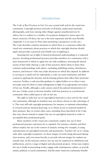## **Introduction**

The *Code of Best Practices in Fair Use* was created with and for the visual arts community. Copyright protects artworks of all kinds, audiovisual materials, photographs, and texts (among other things) against unauthorized use by others, but it is subject to a number of exceptions designed to assure space for future creativity. Of these, fair use is the most important and the most flexible. (Appendix A is an essay by Peter Jaszi presenting a perspective on fair use.) The Code describes common situations in which there is a consensus within the visual arts community about practices to which this copyright doctrine should apply and provides a practical and reliable way of applying it.

Assessing fair use in light of shared professional understandings is a respected practice. Invoking professional practices provides members of a community with a clear framework in which to apply fair use with confidence, knowing the shared norms of their field. Having a code of best practices allows them to share their common understandings with others—including publishing entities, distributors, insurers, and lawyers—who may make decisions on which they depend. In addition to serving as a useful tool for individuals, a code can assist institutions and their counsel in applying the doctrine and developing policies that reflect their particular concerns. Further, a code provides guidance to rights holders as to when it may not make sense for them to claim infringement in light of an appropriate invocation of fair use. Finally, although a code cannot control the judicial interpretation of fair use, it helps courts to become familiar with best practices in a professional community when called upon to rule on fair use.

The right to make fair use of copyrighted materials is a key tool for the visual arts community, although its members may not always choose to take advantage of it. They may still seek copyright permissions, for instance, to maintain relationships, to reward someone deemed deserving, or to obtain access to material needed for their purposes. But, in certain other cases, including those described in the Code, they may choose instead to employ fair use of copyrighted material in order to accomplish their professional goals.

Many members of the visual arts community employ fair use in their professional practices and many do so regularly. For instance, scholars and their editors employ fair use in the context of analytic writing (for example, in using reproductions of copyrighted artworks and quotations). Teachers rely on it—along with other copyright exceptions—to show images of works being discussed during class sessions, and, even more heavily, to provide relevant images for student use outside class. In the museum context, fair use may be employed in exhibitions and publications, and in a range of digital and educational projects. Artists may employ fair use to build on preexisting works, engage with contemporary culture, or provide artistic, political, or social commentary. And the entire visual arts community benefits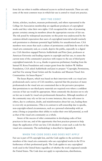6 from fair use when it enables enhanced access to archival materials. These are only some of the most common ways in which fair use is central to visual arts practice.

#### **WHY THE CODE?**

Artists, scholars, teachers, museum professionals, and others represented in the College Art Association membership are significant producers of copyrighted works and they value their own rights. CAA recognized the value of promoting greater certainty among its members about the appropriate exercise of fair use. The risk posed by widespread uncertainty on this point was underscored by the common default expectation that users of copyrighted material should routinely seek permission to eliminate potential legal liability for unauthorized uses. CAA members were aware that such a culture of permissions could limit the work of the visual arts community and, as a result, deprive the public, especially in a digital era. CAA therefore engaged Patricia Aufderheide and Peter Jaszi, professors at American University and leading experts in copyright and fair use, to assess the current state of the community's practices with respect to the use of third-party copyrighted materials. In 2014, thanks to generous preliminary funding from the Samuel H. Kress Foundation and a major grant from the Andrew W. Mellon Foundation, CAA asked Aufderheide and Jaszi to prepare "Copyright, Permissions, and Fair Use among Visual Artists and the Academic and Museum Visual Arts Communities: An Issues Report."

The Issues Report, which was based on their interviews with 100 visual arts professionals and a survey of CAA members, reported that the practices of many professionals in the visual arts are constrained due to the pervasive perception that permissions to use third-party materials are required even where a confident exercise of fair use would be appropriate. Most commonly the decision not to rely on fair use is made by visual arts professionals themselves. Although members of the community may rely on fair use in some instances, they may self-censor in others, due to confusion, doubt, and misinformation about fair use, leading them to over-rely on permissions. (This is in contrast to self-censorship due to specific, non-copyright-related circumstances, such as a personal relationship with an artist.) Doing so jeopardizes their ability to realize their own full potential, as well as that of the visual arts community as a whole.

Aware of the success of other communities in developing codes of best practices in fair use, and of the opportunity that best practices present to help shape the application of fair use law, CAA decided to create such a code for the visual arts community. The methodology is described in Appendix B.

#### **WHEN THE CODE DOES AND DOES NOT APPLY**

Fair use is part of US copyright law, and the Code applies to the activities of members of the visual arts community who use copyrighted works in the US in furtherance of their professional goals. The Code applies to any copyrighted work used in the United States regardless of whether the work originated outside the United States. The Code does not apply to reproductions, distributions,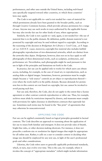uses specifically targeted toward other countries, to which those countries' laws may apply.

performances, and other uses outside the United States, including web-based<br>
uses specifically targeted toward other countries, to which those countries'<br>
laws may apply.<br>
The Code is not applicable to—and is not needed fo The Code is not applicable to—and is not needed for—uses of material for which permissions already have been granted to the broader public, such as through Creative Commons licenses, which provide advance permission for a range of uses. Anyone may use such works in ways authorized by the applicable license but may also invoke fair use for other kinds of uses, where appropriate.

Similarly, the Code is not a guide to—and, again, is not needed for—the use of material that is in the public domain. By definition, public domain material is not protected by copyright and may be used without regard to copyright. According to the reasoning of the decision in *Bridgeman Art Library v. Corel Corp.*, 36 F. Supp. 2d 191 (S.D.N.Y. 1999), moreover, copyright-free material also includes faithful photographic reproductions of two-dimensional artworks, which are distinct from the artworks they depict. *Bridgeman*, however, does not on its face apply to still photographs of three-dimensional works, such as sculpture, architecture, and performance art. Nevertheless, such photographs might be used pursuant to fair use in light of the principles and limitations set forth in the Code.

In practice, fair use can be applied only to works for which users can obtain access, including, for example, in the case of visual art, to reproductions, such as analog slides or digital images. Sometimes, however, permission must be sought simply because a "sole source" controls an art object or reproductions thereofeven where the work itself is in the public domain. Because demands for permission fees in this context are not based on copyright, fair use cannot be invoked to avoid paying such fees.

Fair use and, therefore, the Code, also do not apply to the extent that a license agreement or other contract controls reproduction or other use. Thus, for example, archives must abide by restrictions imposed by donors, and museums must comply with provisions for rights clearance in distribution contracts that supersede fair use. Sometimes such terms may be found in the "fine print" of agreements that may otherwise be noncontroversial.

#### **APPLYING THE CODE**

Fair use can be applied consistently based on logical principles grounded in factual contexts. The Code describes an approach to reasoning about the application of fair use to issues both familiar and emergent. It does not provide rules of thumb, bright-line rules, or other decision-making shortcuts. For instance, it does not prescribe a uniform size or resolution for digital images that might be appropriate for all online uses. Rather, it calls on a user to consider context in deciding what image size should be employed for any new use, in light of the user's professional goals and other considerations.

Likewise, the Code refers users to generally applicable professional standards, which, in turn, may evolve over time. This is the case, for example, where it invokes the concept of "appropriate metadata" (which might include information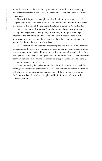8 about the title, artist, date, medium, provenance, current location, ownership, and other characteristics of a work), the meaning of which may differ according to context.

Finally, it is important to emphasize that decisions about whether to utilize the principles of the Code are not affected or limited by the possibility that others may make further uses of the copyrighted material in question. As the law has been interpreted, such "downstream" uses (scanning a book illustration and placing the image on consumer goods, for example) do not give rise to legal liability on the part of visual arts professionals who themselves have relied appropriately on fair use in making the material available and are not actively aware of widespread misuse of it by others.

The Code that follows states five consensus principles that reflect best practices by members of the visual arts community in applying fair use. Each of the principles is given shape by its associated limitations, which are integral to application of the principle. The Code includes only principles and limitations about which there was near-universal consensus among the discussion groups' participants. As a result, they are not necessarily exhaustive.

More specifically, the Code does not describe all the situations in which fair use might be available to members of the visual arts community. Rather, it addresses only the most common situations that members of the community encounter. By the same token, the Code's principles and limitations are, of course, subject to interpretation.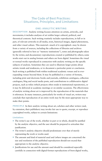## **The Code of Best Practices: Situations, Principles, and Limitations**

#### **ONE: ANALYTIC WRITING**

**DESCRIPTION** Analytic writing focuses attention on artists, artworks, and movements; it includes analyses of art within larger cultural, political, and theoretical contexts. Such writing routinely includes reproductions, in full or in part, of relevant artworks in all media, texts, historical images, digital phenomena, and other visual culture. This material—much of it copyrighted—may be drawn from a variety of sources, including the collections of libraries and archives (generally referred to here as "memory institutions"), notes and photographs taken by the writer, and documentary reproductions created or published by others; some works start out in analog formats and others are born digital. Sometimes the visual or textual works reproduced in connection with analytic writing are the specific subjects of analysis. Sometimes they are used to illustrate larger points about artistic trends and tendencies, or to document a particular point or conclusion. Such writing is published both within traditional academic venues and in everexpanding venues beyond them. It may be published in a variety of formats, including print and electronic books and journals, exhibition catalogues, collection catalogues, blog and social media posts, and contributions to collaborative digital projects, such as wikis (which projects often reside in institutional repositories), or it may be delivered at academic meetings or on similar occasions. The effectiveness of analytic writing about art is improved by the reproduction of the materials that it references. In many instances, particularly for works of visual art, writers may conclude that reproduction of an entire work may be the most appropriate way to make their points.

**PRINCIPLE** In their analytic writing about art, scholars and other writers (and, by extension, their publishers) may invoke fair use to quote, excerpt, or reproduce copyrighted works, subject to certain limitations:

#### **Limitations**

- n The writer's use of the work, whether in part or in whole, should be justified by the analytic objective, and the user should be prepared to articulate that justification.
- n The writer's analytic objective should predominate over that of merely representing the work or works used.
- The amount and kind of material used and (where images are concerned) the size and resolution of the published reproduction should not exceed that appropriate to the analytic objective.
- n Justifications for use and the amount used should be considered especially carefully in connection with digital-format reproductions of born-digital works,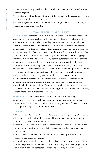- 10 where there is a heightened risk that reproductions may function as substitutes for the originals.
	- Reproductions of works should represent the original works as accurately as can be achieved under the circumstances.
	- $\blacksquare$  The writing should provide attribution of the original work as is customary in the field, to the extent possible.

#### **T WO: TEACHING ABOUT ART**

**DESCRIPTION** Teaching about art in studio and classroom settings, whether in academia or elsewhere, has historically been achieved using reproductions of artwork as illustrations. Today, technology has extended the classroom beyond four walls: teachers may show digital slides or video in classrooms, while also making such works that are related to their courses available to students online by means, for example, of course management platforms. Some institutions also offer their students art courses conducted entirely online. Although specific copyright exceptions are available for some teaching activities, teachers' fulfillment of their mission often is frustrated by the narrow scope of those exceptions. Even where these exceptions may be adequate to cover face-to-face teaching or distance education in real time, they fail to cover many forms of pre- and post-class support that teachers wish to provide to students. In support of their teaching activities, teachers in the visual arts long have maintained collections of exemplary documentation for their own use and that of their students. Sometimes these are maintained in their personal files and sometimes in departmental or other institutional reference collections. Those who maintain such files generally agree that they would prefer to share them more broadly, with peers or related institutions, to create more powerful teaching resources.

**PRINCIPLE** Teachers in the visual arts may invoke fair use in using copyrighted works of various kinds to support formal instruction in a range of settings, as well as for uses that extend such teaching and for reference collections that support it, subject to certain limitations:

#### **Limitations**

- The works selected should further the teacher's substantive pedagogical objectives.
- $\blacksquare$  The teacher's pedagogical objective should predominate over that of merely representing the work or works used.
- n Student access to course management sites where such works are made available should be restricted to those enrolled in the course or otherwise designated by the teacher.
- n Images made available to students should, to the extent possible, accurately represent the works they depict.
- n If providing downloadable images online is justified by the teacher's objectives, those images should be suitable in size for satisfactory full-screen projection or display on a personal computer or mobile device, but generally not larger.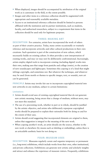- $\blacksquare$  When displayed, images should be accompanied by attribution of the original  $11$ work as is customary in the field, to the extent possible.
- Images and other items in a reference collection should be augmented with appropriate and reasonably available metadata.
- n Access to an institutional reference collection should be limited to persons affiliated with the institution and its partner institutions, such as students, faculty, and authorized researchers, subject to a requirement that items in the collection should be used only for legitimate purposes.

#### **THREE: MAKING ART**

**DESCRIPTION** For centuries, artists have incorporated the work of others as part of their creative practice. Today, many artists occasionally or routinely reference and incorporate artworks and other cultural productions in their own creations. Such quotation is part of the construction of new culture, which necessarily builds on existing culture. It often provides a new interpretation of existing works, and may (or may not) be deliberately confrontational. Increasingly, artists employ digital tools to incorporate existing (including digital) works into their own, making uses that range from pastiche and collage (remix), to the creation of new soundscapes and lightscapes. Sometimes this copying is of a kind that might infringe copyright, and sometimes not. But whatever the technique, and whatever may be used (from motifs or themes to specific images, text, or sounds), new art can be generated.

**PRINCIPLE** Artists may invoke fair use to incorporate copyrighted material into new artworks in any medium, subject to certain limitations:

#### **Limitations**

- Artists should avoid uses of existing copyrighted material that do not generate new artistic meaning, being aware that a change of medium, without more, may not meet this standard.
- n The use of a preexisting work, whether in part or in whole, should be justified by the artistic objective, and artists who deliberately repurpose copyrighted works should be prepared to explain their rationales both for doing so and for the extent of their uses.
- n Artists should avoid suggesting that incorporated elements are original to them, unless that suggestion is integral to the meaning of the new work.
- n When copying another's work, an artist should cite the source, whether in the new work or elsewhere (by means such as labeling or embedding), unless there is an articulable aesthetic basis for not doing so.

#### **FOUR: MUSEUM USES**

**DESCRIPTION** Museums regularly curate and organize temporary or permanent (i.e., long-term) exhibitions, which include works from their own, other institutional, and private collections. Exhibitions can generate new artistic and scholarly insights and attract and enhance the experience of museum visitors. Frequently, exhibitions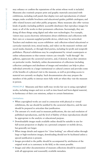12 may enhance or confirm the reputations of the artists whose work is included. Museums also routinely prepare print and graphic materials associated with exhibitions, including wall panels that display text and reproductions of related images; make available brochures and educational guides; publish catalogues; and offer related lectures and other public programs. Many museums also offer various kinds of guides (including publicly accessible databases) that reproduce images for many or all of the works in their permanent collections. Increasingly, they are doing all these things using digital and other new technologies. For example, visitors may access electronic information about exhibitions and collections with their own or a museum-supplied portable device, which may be networked. Teachers and students may access exhibition- and collection-related educational or curricular materials (text, mixed media, and video) on the museum's website and social media channels, or through third parties, including for-profit and nonprofit publishers. Physical exhibitions may be complemented by virtual counterparts or online enhancements so that remote visitors can virtually "walk through" the galleries, appreciate the curatorial narrative, and, if desired, focus their attention on particular works. Similarly, online documentation of collections (including collection catalogues and databases of images and metadata) can help to place individual artworks in a larger institutional or cultural context and provides some of the benefits of a physical visit to the museum, as well as providing access to material not currently on display. Such documentation also may prepare the members of the public to interact more fully with art when they visit the museum in person.

**PRINCIPLE** Museums and their staffs may invoke fair use in using copyrighted works, including images and text as well as time-based and born-digital material, in furtherance of their core missions, subject to certain limitations:

#### **Limitations**

- When copyrighted works are used in connection with physical or virtual exhibitions, the use should be justified by the curatorial objective, and the user should be prepared to articulate that justification.
- $\blacksquare$  The amount of a work used in museum publications, the size and resolution of published reproductions, and the level of fidelity of those reproductions should be appropriate to the analytic or educational purpose.
- Downloadable images made available online should be suitable in size for full-screen projection or display on a personal computer or mobile device, but generally not larger.
- n When image details and support for "close looking" are offered online through large or high-resolution images, downloading should not be facilitated unless a special justification is present.
- n Images provided to the public should be accompanied by attribution of the original work as is customary in the field, to the extent possible.
- Images and other documentation of museum collections should be associated with all appropriate and reasonably available metadata.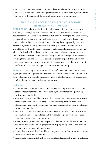$\blacksquare$  Images and documentation of museum collections should honor institutional  $13$ policies designed to protect noncopyright interests of third parties, including the privacy of individuals and the cultural sensitivities of communities.

## **FIVE: ONLINE ACCESS TO RELATED COLLECTIONS IN MEMORY INSTITUTIONS**

**DESCRIPTION** Many institutions, including academic libraries, art schools, museums, archives, and study centers, maintain collections of art-related documentation, including the sketches and studies, manuscripts, financial records, personal photographs, and book collections of artists, collectors, dealers, and others. Unless subject to use restrictions, including those imposed by donation agreements, these memory institutions typically make such documentation available for study and personal copying by scholars and members of the public. Much of this valuable and often unique study material—some unpublished and some difficult to trace to rights holders—may be under copyright. Online access resulting from digitization of these collections greatly expands their utility for scholars, students, artists, and the public; it also contributes to the protection of the information they contain against theft, disaster, and decay.

**PRINCIPLE** Memory institutions and their staffs may invoke fair use to create digital preservation copies and to enable digital access to copyrighted materials in their collections and to make those collections available online, with appropriate search tools, subject to the following limitations:

#### **Limitations**

- $\blacksquare$  Material made available online should be redacted to protect the privacy and other noncopyright interests of third parties, in accordance with prevailing professional standards.
- n Visitors to the site should be informed that the materials they access are provided for their personal and/or scholarly use, and that they are responsible for obtaining any copyright permissions that may be required for their own further uses of that material.
- n Institutions should prominently offer such users a point of contact for further information and correspondence and they should respond promptly to user complaints, corrections, and questions.
- $\blacksquare$  When provided, downloadable images provided online should be suitable in size and resolution for full-screen projection or display on a personal computer or mobile device, but generally not larger.
- Materials made available should be accompanied by attribution as is customary in the field, to the extent possible.
- n Items should be augmented with all appropriate and reasonably available metadata.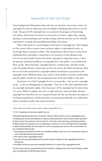## **Appendix A: Fair Use Today\***

Some background information about the fair use doctrine, seen in the context of copyright law and its objectives, may be helpful in thinking about how to use the Code. The goal of US copyright law is to promote the progress of knowledge and culture. Its best-known feature is protection of owners' rights. But copying, quoting, recontextualizing, and reusing existing cultural material can be critically important to creating and spreading knowledge and culture.

That is why there is a social bargain at the heart of copyright law. That bargain is: Our society offers creators some exclusive rights in copyrighted works, to encourage them to produce culture. The compensation that creators receive from exploiting their copyrights is important as an incentive to this ultimate end; it is not an end in itself. Society also limits copyright in important ways, so that the primary intended beneficiary of copyright law—the public—can benefit from those works. Most basically, copyright lasts for a limited time, and then works enter the public domain, where they are free for use by all. Other limitations allow the use of works protected by copyright without permission or payment to the copyright owner. Without those uses, creative and scholarly activities would suffer, and the public would lose out on important new work that builds on the past.

As Section 107 of the Copyright Act of 1976 provides, " fair use of a copyright work… is not an infringement of copyright."† Fair use is the most important limit on copyright monopoly rights. It has been part of US copyright law for more than 170 years. Where it applies, fair use is a right and not a mere privilege. Because copyright law describes fair use in general terms, the fair use doctrine can adjust to evolving circumstances, and the fact that it is asserted procedurally as an affirmative defense should not affect this characterization.

\* Peter Jaszi wrote this section and is solely responsible for it.

† § 107. Limitations on exclusive rights: Fair use

Notwithstanding the provisions of sections 106 and 106A, the fair use of a copyrighted work, including such use by reproduction in copies or phonorecords or by any other means specified by that section, for purposes such as criticism, comment, news reporting, teaching (including multiple copies for classroom use), scholarship, or research, is not an infringement of copyright. In determining whether the use made of a work in any particular case is a fair use the factors to be considered shall include—

- 1. the purpose and character of the use, including whether such use is of a commercial nature or is for nonprofit educational purposes;
- 2. the nature of the copyrighted work;
- 3. the amount and substantiality of the portion used in relation to the copyrighted work as a whole; and
- 4. the effect of the use upon the potential market for or value of the copyrighted work.

The fact that a work is unpublished shall not itself bar a finding of fair use if such finding is made upon consideration of all the above factors.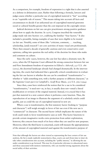As a comparison, for example, freedom of expression is a right that is also asserted as a defense in defamation cases. Rather than following a formula, lawyers and judges assess whether a particular use of copyrighted material is "fair" according to an "equitable rule of reason." This means taking into account all facts and circumstances to decide if an unlicensed use of copyrighted material generates social or cultural benefits greater than the cost imposed on the copyright owner.

Judicial decisions on fair use can give practitioners strong positive guidance about how to apply the doctrine. In 1976, Congress inscribed the venerable judge-made rule into Section 107, codifying the familiar "four factors." It also included a preamble, listing examples of uses that were eligible to be treated (as fair use. Notably, some of these (like "criticism, comment, . . . teaching, scholarship, [and] research") are core activities of many visual arts professionals. There then ensued a decade of generally cautious and even conservative court opinions, calling into question the real utility of the doctrine for those who make and comment on culture.

Since the early 1990s, however, the case law has taken a dramatic turn. By 2002, when the US Supreme Court affirmed the strong connection between fair use and First Amendment freedom of expression in *Eldred v. Ashcroft*, 537 U.S. 186 (2003), the doctrinal landscape already had changed dramatically. In the intervening time, the courts had indicated that a generally critical consideration in evaluating the fair use factors is whether the use can be considered "transformative" whether it "adds something new, with a further purpose or different character," as the Supreme Court put it in *Campbell v. Acuff-Rose Music*, 510 U.S. 569 (1994).

Since then, cases have reinforced the notion that for a use to be considered "transformative," it need not—as, in fact, it usually does not—entail a literal modification or revision of the original material. Instead, it is crucial that it has put that material in a new context where it performs a new function. Thus, the reproduction of an image to illustrate the argument of a scholarly article could qualify, just as could the use of copyrighted material in new art.

Where a use is transformative, the first statutory factor (looking to "purpose and character") will weigh strongly in favor of fair use even if the new use is "commercial" in character. The second factor (which implicates the nature of the work used) tends to favor transformative uses as well. This factor functions to provide certain imaginative works extra protection from unfair exploitation; however, this concern loses much of its force when they are used for new purposes. Moreover, where the third factor is concerned, courts will measure the appropriateness of the amount of copyrighted material used against the transformative purpose of

Note that although the factors are often viewed as representing the four corners of fair use analysis, the list is made explicitly nonexclusive; thus, courts can and (from time to time) do take other considerations into account, including the "public interest," in allowing the use under consideration to go forward. This may be of particular relevance to educational users and those associated with memory institutions, who can marshal strong arguments about the social utility of their activities.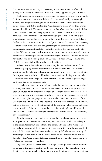16 that use; where visual imagery is concerned, use of an entire work often will qualify, as in *Nunez v. Caribbean Int'l News Corp*., 235 F.3d 18 (1st Cir. 2000).

And crucially, a transformative use is likely to weigh in favor of fair use under the fourth factor (directed toward the market harm suffered by the copyright holder), because (as increasing numbers of courts have recognized) copyright owners are not entitled to control the "transformative markets" for their works, as exemplified by *Bill Graham Archives v. Dorling Kindersley Ltd*., 448 F.3d 605 (2d Cir. 2006), which involved graphic art reproduced to illustrate a historical narrative. The unlicensed use of reference images (so-called "thumbnails") in internet search engines has been found to be fair on this basis, an example being *Perfect 10, Inc. v. Amazon.com, Inc.*, 508 F.3d 1146 (9th Cir. 2007). But, conversely, the transformativeness test also safeguards rights holders from the invasion of commercially significant markets or potential markets that they are entitled to exploit. When a use merely substitutes for an authorized use in a copyright owner's core market, for example, the photographic image of a statue chosen and used for its visual appeal on a postage stamp in *Gaylord v. United States*, 595 F.3d 1364 (Fed. Cir. 2010), it is less likely to be considered fair.

Where a use is deemed nontransformative, the market-harm test of factor four is likely to play a more important role in the analysis. Thus, for example, a textbook author's failure to license summaries of various artists' careers adopted from a proprietary website could weigh against a fair use finding. Alternatively, the reproduction of an "orphan" work that is not being actively exploited might be deemed fair on the same grounds.

As might be expected, these developments in the case law have been questioned by some, who have criticized the transformativeness test as too subjective in its application, too harsh (where the interests of copyright owners are concerned) in effect, and somehow inconsistent with the fact that copyright owners are granted an "exclusive right" to "prepare derivative works" under Section 106(2) of the Copyright Act. Only time may tell how well justified some of these objections are. But, as to the last, it is worth noting that all the exclusive rights granted in Section 106 are qualified. It is not clear why the derivative work right should be any less subject to fair use than, for example, the rights of "reproduction," "distribution," or "performance."

Certainly, controversy remains about how fair use should apply to so-called appropriation art, the case law concerning which was discussed at some length in the Issues Report that helped frame the issues addressed in this Code. The particular application of the transformativeness test in Cariou v. Prince, 714 F.3d 694 (2d Cir. 2013), involving new works created by defendant's overpainting of photographs taken from plaintiff's book, continues to attract critics as well as defenders. This Code offers a balanced approach to invoking fair use in this area of visual arts practice, as in others.

In general, there has never been as strong a general judicial consensus about the nature of the fair use doctrine as the one that exists today. In making fair use decisions about issues such as those that confront the visual arts community, judges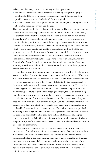today generally focus, in effect, on two key analytic questions: 17

- $\blacksquare$  Did the use "transform" the copyrighted material by using it for a purpose significantly different from that of the original, or did it do no more than provide consumers with a "substitute" for the original?
- $\blacksquare$  Was the material taken appropriate in kind and amount, considering the nature of both the copyrighted work and the use?

These two questions effectively collapse the four factors. The first question contains the first two factors—the purpose of the use and nature of the work used. Thus, for example, the unpublished nature of a work could weigh against fair use if a deceased artist's copyrighted private letters were being used for gratuitous and sensational effect, but it should have little bearing if the use were for an academic (and thus transformative) purpose. The second question rephrases the third factor, which looks to the quantity and quality of the material used. Both of the key questions touch on the fourth factor, focusing on economic harm the use will cause to the owner's relevant market. This is because courts have made it clear that substitutional harm is what matters in applying factor four. Thus, if Artist B's "parodies'' of Artist A's works actually supplant purchases of Artist A's works, that might result in such harm, but if Artist A's work, as a result, loses popularity or marketability, that would not.

In other words, if the answer to these two questions is clearly in the affirmative, a court is likely to find a use fair, even if the work is used in its entirety. Where that is the case, a rights holder also might conclude that it ought not to challenge the use.

Court decisions also show that it can be helpful to the fair use argument for the user to explain the new function, purpose, or context of the use. The case law further suggests that the more coherent an account the user can give of how and why it was appropriate to employ the copyrighted work, the easier it is for judges to understand if and whether and why the use would be considered transformative.

The flexibility of fair use can lead users to wish for clearer rules or brighter lines. But the flexibility of fair use is its strength. Courts have emphasized that fair use analysis is fact- and situation-specific. In most cases, however, it is also quite predictable. Moreover, it can be made more so. Even without case law specifically addressing a use, judges and lawyers consider expectations and practice—whether the user acted reasonably and in good faith in light of standards of accepted practice in a particular field. One way of creating better understanding of what fair use permits is, therefore, to document the considered attitudes and best practices of a professional community.

Finally, it is worth noting that legal experts disagree on how much a user's show of good faith adds to a claim of fair use—although, of course, it cannot hurt. Nevertheless, the members of the visual arts community who met to devise the consensus reflected in the Code believed in its importance. Thus, the Code reflects some widely and strongly held community values not tied to language of the Copyright Act, in particular the importance of attribution, and of safeguarding noncopyright interests such as privacy and cultural sensitivities (including those of indigenous communities).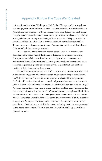## **Appendix B: How The Code Was Created**

In five cities—New York, Washington, DC, Dallas, Chicago, and Los Angeles two groups, each of ten to fourteen visual arts professionals, met with facilitators Aufderheide and Jaszi for four-hour, closed, deliberative discussions. Each group brought together practitioners from across the spectrum of the visual arts, including artists, scholars, museum professionals, editors, and others. They were asked to speak as individuals rather than as representatives of particular organizations. To encourage open discussion, participants' anonymity and the confidentiality of their individual views were guaranteed.

In each session, participants considered issues drawn from the situations described in the Issues Report. Participants discussed their reasons for using third-party materials in such situations and, in light of their missions, they explored the limits of those rationales. Each group considered areas of consensus identified in previous groups' discussions as well as points that had not been clarified fully in those earlier discussions.

The facilitators summarized, in a draft code, the areas of consensus identified in the discussion groups. The other principal investigators, the project advisors, CAA's Task Force on Fair Use, its Committee on Intellectual Property, and its Professional Practices Committee reviewed and provided comments on that draft. After a further revision by the facilitators, the draft Code was presented to a Legal Advisory Committee of five experts in copyright law and fair use. That committee was charged with ensuring that the Code's articulation of principles and limitations fell within the bounds of reason and was generally consonant with fair use doctrine. The Code was then revised in light of the committee's comments. With the exception of Appendix A, no part of this document represents the individual views of any contributor. The final version of this document, including the Code, was presented to the Board of Directors of the College Art Association, which approved it on January 12, 2015.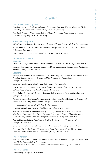## **Credits\***

#### **Lead Principal Investigators**

Patricia Aufderheide, *Professor, School of Communication, and Director, Center for Media & Social Impact, School of Communication, American University* 

Peter Jaszi, Professor, *Washington College of Law, Program on Information Justice and Intellectual Property, American University*

#### **Principal Investigators**

Jeffrey P. Cunard, *Partner, Debevoise & Plimpton LLP, and Counsel, College Art Association* Anne Collins Goodyear, *Co-Director, Bowdoin College Museum of Art, and Past President, College Art Association*

Linda Downs, *Executive Director and CEO, College Art Association*

#### **Task Force on Fair Use COCHAIRS**

Jeffrey P. Cunard, *Partner, Debevoise & Plimpton LLP, and Counsel, College Art Association* Gretchen Wagner, *former General Counsel, ARTstor, and member, Committee on Intellectual Property, College Art Association* 

#### **MEMBERS**

Suzanne Preston Blier, *Allen Whitehill Clowes Professor of Fine Arts and of African and African American Studies, Harvard University, and Vice President for Publications, College Art Association*

Linda Downs, *Executive Director and CEO, College Art Association*

DeWitt Godfrey, *Associate Professor of Sculpture, Department of Art and Art History, Colgate University, and President, College Art Association*

Anne Collins Goodyear, *Co-Director, Bowdoin College Museum of Art, and Past President, College Art Association*

Randall C. Griffin, *Professor, Department of Art History, Southern Methodist University, and former Vice President for Publications, College Art Association* 

Joe Hannan, *Editorial Director, College Art Association*

Betty Leigh Hutcheson, *Director of Publications, College Art Association*

Paul Jaskot, *Andrew W. Mellon Professor, 2014–16, Center for Advanced Study in the Visual Arts; Professor of the History of Art and Architecture, College of Liberal Arts and Social Sciences, DePaul University; and former President, College Art Association*

Patricia McDonnell, *Executive Director, Wichita Art Museum, and former Secretary, College Art Association*

Christine Sundt, Editor, *Visual Resources: An International Journal of Documentation*

Charles A. Wright, *Professor of Sculpture and Chair, Department of Art, Western Illinois University, and Vice President for Committees, College Art Association*

#### **Project Advisors**

Paul Catanese, *Professor and Chair, Interdisciplinary Arts, Columbia College, and former Chair, New Media Caucus, College Art Association*  Christine Sundt, *Editor, Visual Resources: An International Journal of Documentation*

#### **Project Manager**

Janet Landay, *College Art Association*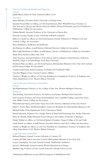#### 20 **CAA Committee on Intellectual Property**

#### **CHAIRS**

Judith Metro, *Editor in Chief, National Gallery of Art*

#### **MEMBERS**

Susan Bielstein, *Executive Editor, University of Chicago Press* 

Suzanne Preston Blier (ex officio, as CAA board liaison), *Allen Whitehill Clowes Professor of Fine Arts and of African and African American Studies, Harvard University, and Vice President for Publications, College Art Association*

Nathan Budoff, *Associate Professor of Art, University of Puerto Rico* 

Kenneth Cavalier, *Faculty of Law, University of British Columbia*

Jeffrey P. Cunard (ex officio, as CAA board liaison), *Partner, Debevoise & Plimpton LLP, and Counsel, College Art Association* 

Mary DelMonico, *DelMonico Books/Prestel* 

Joe Hannan (ex officio, as staff liaison), *Editorial Director, College Art Association* 

Betty Leigh Hutcheson (ex officio, as staff liaison), *Director of Publications, College Art Association*

Elaine Koss, *freelance editor, New York*

Anne Norcross, *Assistant Professor of Art History and Coordinator, Visual Resource Collection, Kendall College of Art and Design, Ferris State University*

Doralynn Pines (ex officio, as CAA board liaison), *Metropolitan Museum of Art, New York (retired), and Secretary, College Art Association*

Cynthia Underwood, *Patent Examiner, US Patent and Trademark Office* 

Gretchen Wagner, *former General Counsel, ARTstor*

Charles A. Wright (ex officio, as CAA Vice President for Committees), *Professor of Sculpture and Chair, Department of Art, Western Illinois University*

#### **CAA Professional Practices Committee CHAIRS**

Jim Hopfensperger, *Professor of Art, College of Fine Arts, Western Michigan University*

#### **MEMBERS**

Tom Berding, *Association Professor, Art History and Design, Michigan State University*

Paul Catanese, *Professor and Chair, Interdisciplinary Arts, Columbia College, and former Chair, New Media Caucus, College Art Association*

Elliot Bostwick Davis, *John Cabot Chair, Arts of the Americas, Museum of Fine Arts, Boston*

Helen C. Evans, *Mary and Michael Jaharis Curator for Byzantine Art, Metropolitan Museum of Art* Michael Grillo, *Chair, Department of Art, University of Maine*

Dennis Ichiyama, *Professor, Art + Design, School of Visual and Performing Arts, Purdue University* Bruce M. Mackh, *Mellon Research Project Director, Arts Engine, University of Michigan*

Denise Mullen (ex officio, as CAA board liaison), *President, Oregon College of Art and Craft*

Linda Downs (ex officio, as staff liaison), *Executive Director and CEO, College Art Association*

Charles A. Wright (ex officio, as CAA Vice President for Committees), *Professor of Sculpture and Chair, Department of Art, Western Illinois University*

#### **Legal Advisory Committee**

Richard Dannay, *Counsel, Cowan, Liebowitz & Latman, P.C.* Cristina del Valle, *Senior Associate Counsel, Metropolitan Museum of Art, New York* Lauryn Guttenplan, *Associate General Counsel, Smithsonian Institution* Steven J. McDonald, *General Counsel, Rhode Island School of Design* Matthew Sag, *Professor of Law, Loyola University Chicago School of Law*

\*Institutional affiliations are provided for purposes of identification only.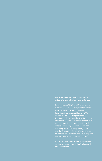available online at the College Art Association website: www.collegeart.org/fair-use. website also includes Frequently Asked are also available online on the websites of American University's Center for Media and and the Washington College of Law's Program (www.wcl.american.edu/pijip/go/fair-use).

Kress Foundation.